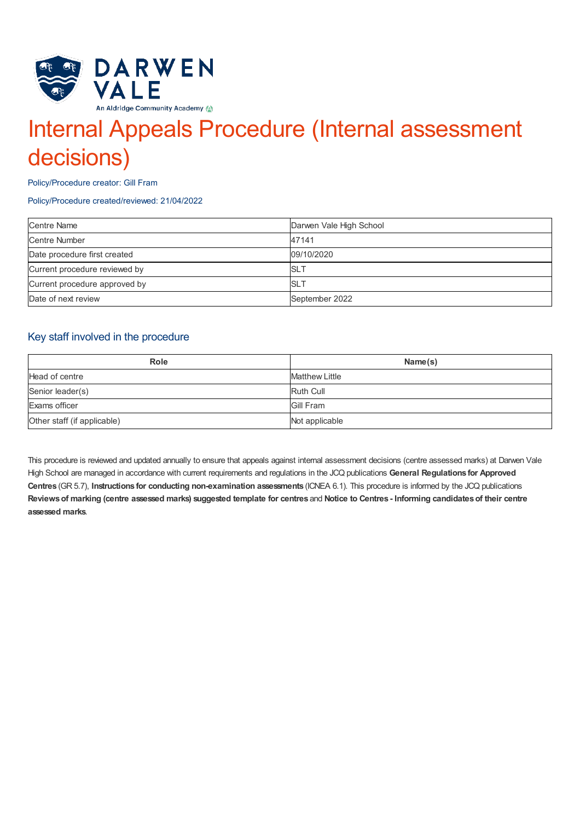

# Internal Appeals Procedure (Internal assessment decisions)

Policy/Procedure creator: Gill Fram

Policy/Procedure created/reviewed: 21/04/2022

| <b>Centre Name</b>            | Darwen Vale High School |
|-------------------------------|-------------------------|
| <b>Centre Number</b>          | 47141                   |
| Date procedure first created  | 09/10/2020              |
| Current procedure reviewed by | <b>SLT</b>              |
| Current procedure approved by | <b>SLT</b>              |
| Date of next review           | September 2022          |

# Key staff involved in the procedure

| <b>Role</b>                 | Name(s)               |
|-----------------------------|-----------------------|
| Head of centre              | <b>Matthew Little</b> |
| Senior leader(s)            | <b>Ruth Cull</b>      |
| Exams officer               | Gill Fram             |
| Other staff (if applicable) | Not applicable        |

This procedure is reviewed and updated annually to ensure that appeals against internal assessment decisions (centre assessed marks) at Darwen Vale High School are managed in accordance with current requirements and regulations in the JCQ publications **General Regulations for Approved Centres** (GR 5.7), **Instructions for conducting non-examination assessments** (ICNEA 6.1). This procedure is informed by the JCQ publications Reviews of marking (centre assessed marks) suggested template for centres and Notice to Centres - Informing candidates of their centre **assessed marks**.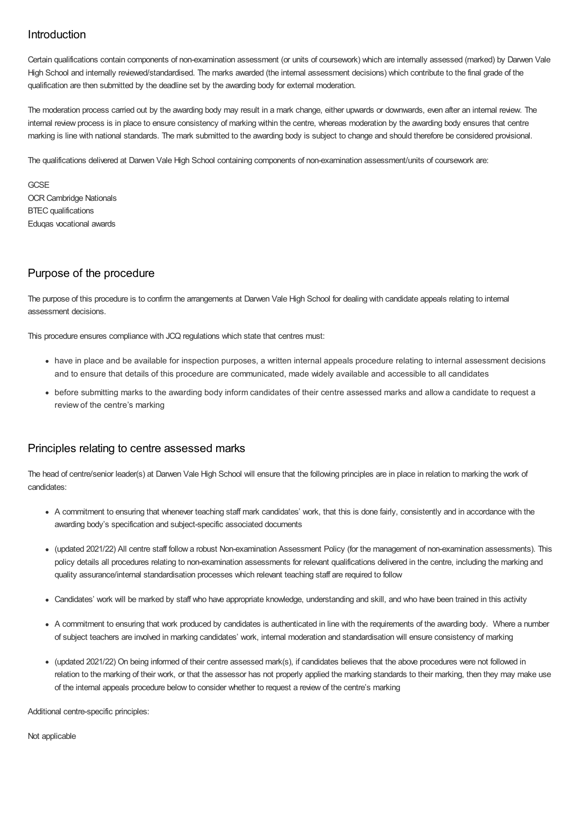# Introduction

Certain qualifications contain components of non-examination assessment (or units of coursework) which are internally assessed (marked) by Darwen Vale High School and internally reviewed/standardised. The marks awarded (the internal assessment decisions) which contribute to the final grade of the qualification are then submitted by the deadline set by the awarding body for external moderation.

The moderation process carried out by the awarding body may result in a mark change, either upwards or downwards, even after an internal review. The internal review process is in place to ensure consistency of marking within the centre, whereas moderation by the awarding body ensures that centre marking is line with national standards. The mark submitted to the awarding body is subject to change and should therefore be considered provisional.

The qualifications delivered at Darwen Vale High School containing components of non-examination assessment/units of coursework are:

**GCSF** OCR Cambridge Nationals BTEC qualifications Eduqas vocational awards

## Purpose of the procedure

The purpose of this procedure is to confirm the arrangements at Darwen Vale High School for dealing with candidate appeals relating to internal assessment decisions.

This procedure ensures compliance with JCQ regulations which state that centres must:

- have in place and be available for inspection purposes, a written internal appeals procedure relating to internal assessment decisions and to ensure that details of this procedure are communicated, made widely available and accessible to all candidates
- before submitting marks to the awarding body inform candidates of their centre assessed marks and allow a candidate to request a review of the centre's marking

### Principles relating to centre assessed marks

The head of centre/senior leader(s) at Darwen Vale High School will ensure that the following principles are in place in relation to marking the work of candidates:

- A commitment to ensuring that whenever teaching staff mark candidates' work, that this is done fairly, consistently and in accordance with the awarding body's specification and subject-specific associated documents
- (updated 2021/22) All centre staff follow a robust Non-examination Assessment Policy (for the management of non-examination assessments). This policy details all procedures relating to non-examination assessments for relevant qualifications delivered in the centre, including the marking and quality assurance/internal standardisation processes which relevant teaching staff are required to follow
- Candidates' work will be marked by staff who have appropriate knowledge, understanding and skill, and who have been trained in this activity
- A commitment to ensuring that work produced by candidates is authenticated in line with the requirements of the awarding body. Where a number of subject teachers are involved in marking candidates' work, internal moderation and standardisation will ensure consistency of marking
- (updated 2021/22) On being informed of their centre assessed mark(s), if candidates believes that the above procedures were not followed in relation to the marking of their work, or that the assessor has not properly applied the marking standards to their marking, then they may make use of the internal appeals procedure below to consider whether to request a review of the centre's marking

Additional centre-specific principles:

Not applicable